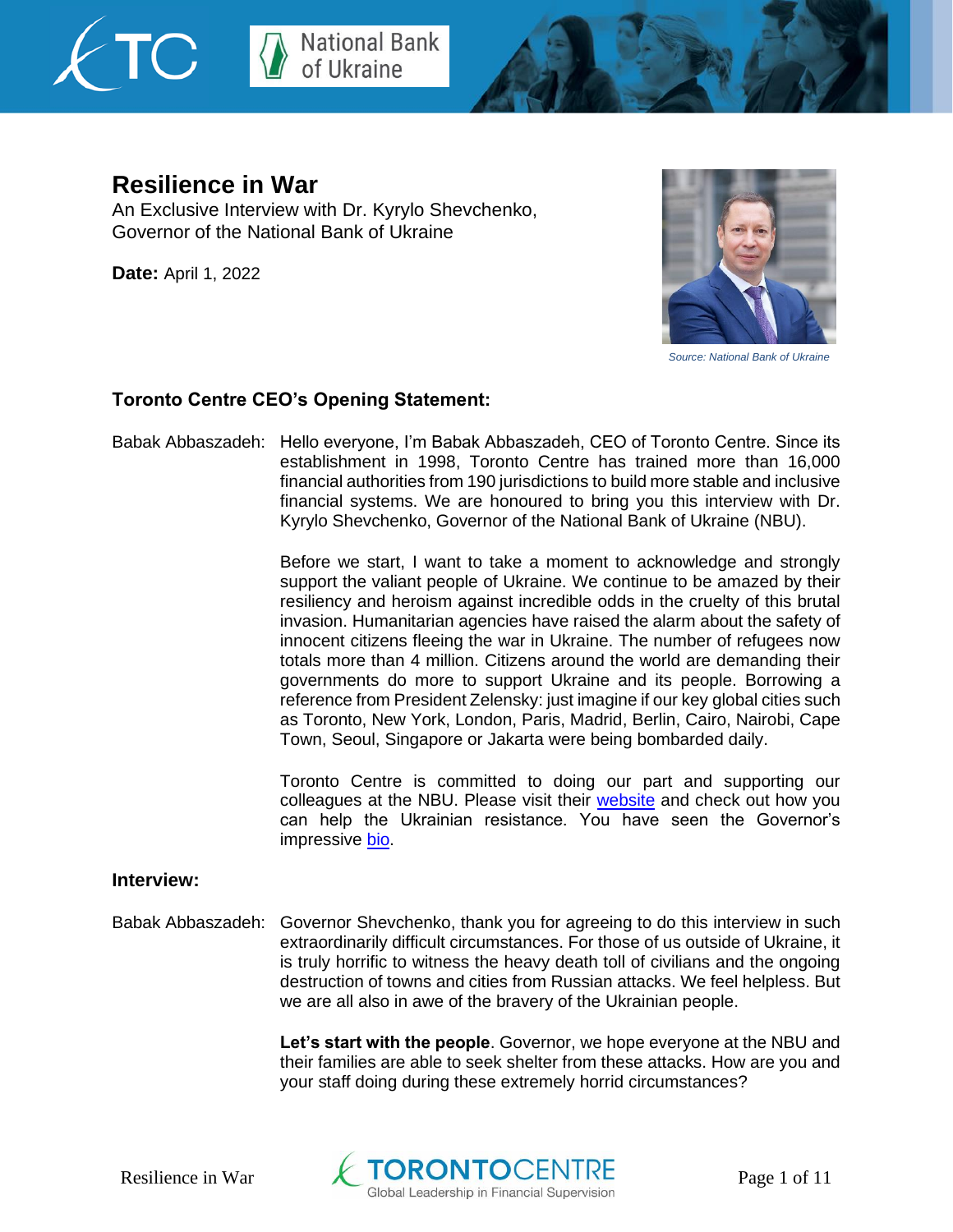



## **Resilience in War**

An Exclusive Interview with Dr. Kyrylo Shevchenko, Governor of the National Bank of Ukraine

**Date:** April 1, 2022



*Source: National Bank of Ukraine*

## **Toronto Centre CEO's Opening Statement:**

Babak Abbaszadeh: Hello everyone, I'm Babak Abbaszadeh, CEO of Toronto Centre. Since its establishment in 1998, Toronto Centre has trained more than 16,000 financial authorities from 190 jurisdictions to build more stable and inclusive financial systems. We are honoured to bring you this interview with Dr. Kyrylo Shevchenko, Governor of the National Bank of Ukraine (NBU).

> Before we start, I want to take a moment to acknowledge and strongly support the valiant people of Ukraine. We continue to be amazed by their resiliency and heroism against incredible odds in the cruelty of this brutal invasion. Humanitarian agencies have raised the alarm about the safety of innocent citizens fleeing the war in Ukraine. The number of refugees now totals more than 4 million. Citizens around the world are demanding their governments do more to support Ukraine and its people. Borrowing a reference from President Zelensky: just imagine if our key global cities such as Toronto, New York, London, Paris, Madrid, Berlin, Cairo, Nairobi, Cape Town, Seoul, Singapore or Jakarta were being bombarded daily.

> Toronto Centre is committed to doing our part and supporting our colleagues at the NBU. Please visit their [website](https://bank.gov.ua/en/news/all/natsionalniy-bank-vidkriv-spetsrahunok-dlya-zboru-koshtiv-na-potrebi-armiyi) and check out how you can help the Ukrainian resistance. You have seen the Governor's impressive [bio.](https://bank.gov.ua/en/about/structure/details?member=8)

## **Interview:**

Babak Abbaszadeh: Governor Shevchenko, thank you for agreeing to do this interview in such extraordinarily difficult circumstances. For those of us outside of Ukraine, it is truly horrific to witness the heavy death toll of civilians and the ongoing destruction of towns and cities from Russian attacks. We feel helpless. But we are all also in awe of the bravery of the Ukrainian people.

> **Let's start with the people**. Governor, we hope everyone at the NBU and their families are able to seek shelter from these attacks. How are you and your staff doing during these extremely horrid circumstances?

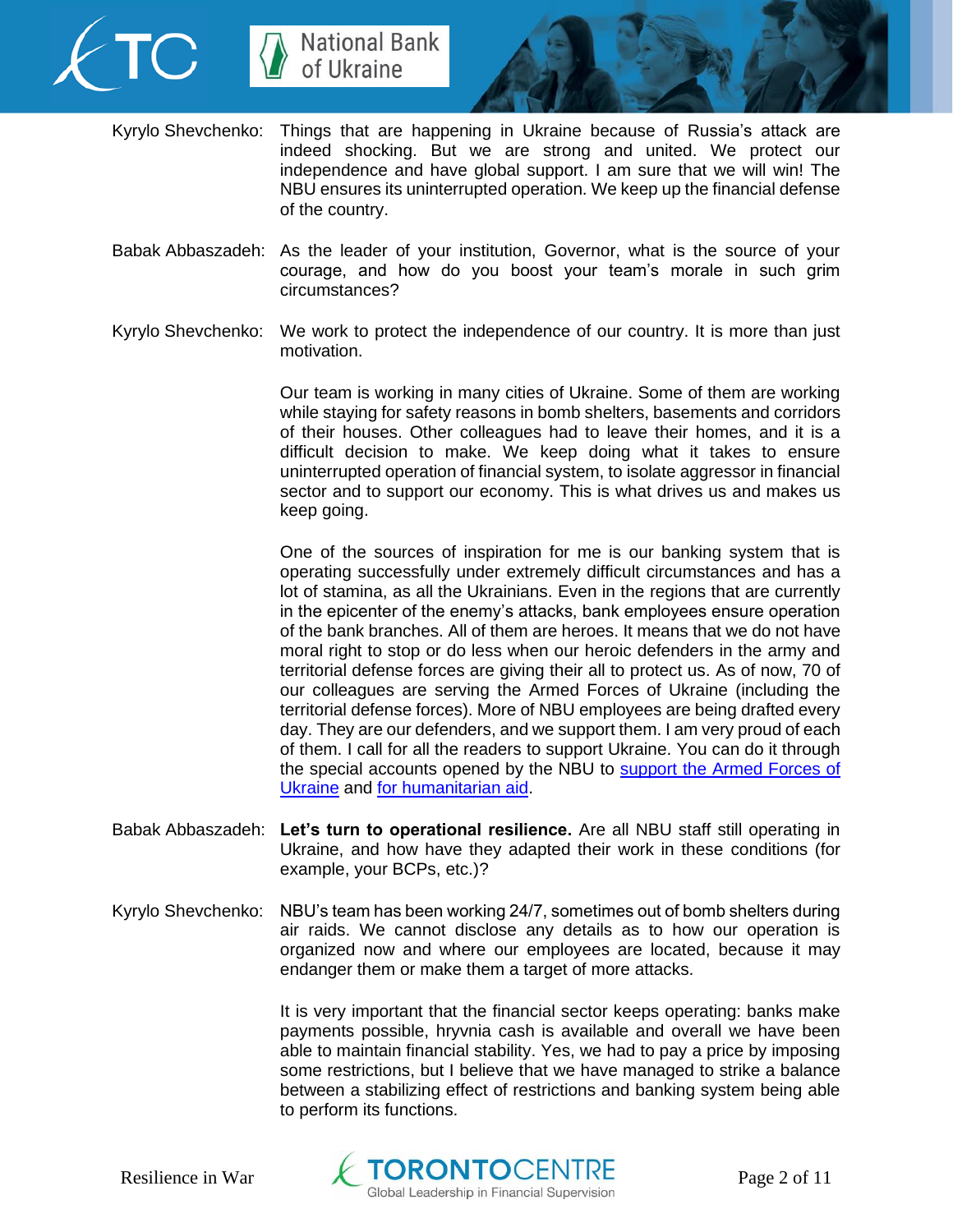



- Kyrylo Shevchenko: Things that are happening in Ukraine because of Russia's attack are indeed shocking. But we are strong and united. We protect our independence and have global support. I am sure that we will win! The NBU ensures its uninterrupted operation. We keep up the financial defense of the country.
- Babak Abbaszadeh: As the leader of your institution, Governor, what is the source of your courage, and how do you boost your team's morale in such grim circumstances?
- Kyrylo Shevchenko: We work to protect the independence of our country. It is more than just motivation.

Our team is working in many cities of Ukraine. Some of them are working while staying for safety reasons in bomb shelters, basements and corridors of their houses. Other colleagues had to leave their homes, and it is a difficult decision to make. We keep doing what it takes to ensure uninterrupted operation of financial system, to isolate aggressor in financial sector and to support our economy. This is what drives us and makes us keep going.

One of the sources of inspiration for me is our banking system that is operating successfully under extremely difficult circumstances and has a lot of stamina, as all the Ukrainians. Even in the regions that are currently in the epicenter of the enemy's attacks, bank employees ensure operation of the bank branches. All of them are heroes. It means that we do not have moral right to stop or do less when our heroic defenders in the army and territorial defense forces are giving their all to protect us. As of now, 70 of our colleagues are serving the Armed Forces of Ukraine (including the territorial defense forces). More of NBU employees are being drafted every day. They are our defenders, and we support them. I am very proud of each of them. I call for all the readers to support Ukraine. You can do it through the special accounts opened by the NBU to support the Armed Forces of [Ukraine](https://bank.gov.ua/ua/about/support-the-armed-forces) and [for humanitarian aid.](https://bank.gov.ua/ua/about/humanitarian-aid-to-ukraine)

- Babak Abbaszadeh: **Let's turn to operational resilience.** Are all NBU staff still operating in Ukraine, and how have they adapted their work in these conditions (for example, your BCPs, etc.)?
- Kyrylo Shevchenko: NBU's team has been working 24/7, sometimes out of bomb shelters during air raids. We cannot disclose any details as to how our operation is organized now and where our employees are located, because it may endanger them or make them a target of more attacks.

It is very important that the financial sector keeps operating: banks make payments possible, hryvnia cash is available and overall we have been able to maintain financial stability. Yes, we had to pay a price by imposing some restrictions, but I believe that we have managed to strike a balance between a stabilizing effect of restrictions and banking system being able to perform its functions.

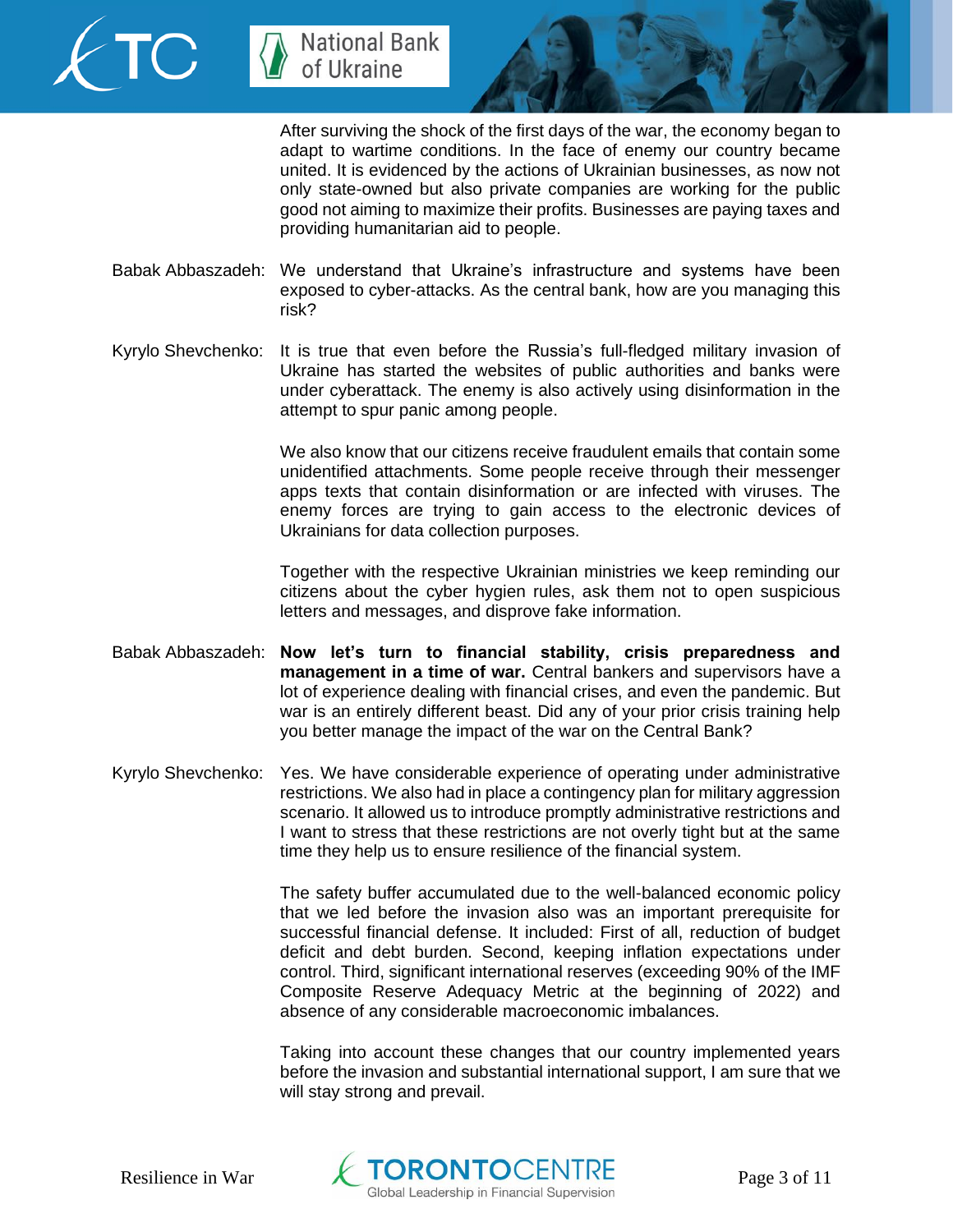



After surviving the shock of the first days of the war, the economy began to adapt to wartime conditions. In the face of enemy our country became united. It is evidenced by the actions of Ukrainian businesses, as now not only state-owned but also private companies are working for the public good not aiming to maximize their profits. Businesses are paying taxes and providing humanitarian aid to people.

- Babak Abbaszadeh: We understand that Ukraine's infrastructure and systems have been exposed to cyber-attacks. As the central bank, how are you managing this risk?
- Kyrylo Shevchenko: It is true that even before the Russia's full-fledged military invasion of Ukraine has started the websites of public authorities and banks were under cyberattack. The enemy is also actively using disinformation in the attempt to spur panic among people.

We also know that our citizens receive fraudulent emails that contain some unidentified attachments. Some people receive through their messenger apps texts that contain disinformation or are infected with viruses. The enemy forces are trying to gain access to the electronic devices of Ukrainians for data collection purposes.

Together with the respective Ukrainian ministries we keep reminding our citizens about the cyber hygien rules, ask them not to open suspicious letters and messages, and disprove fake information.

- Babak Abbaszadeh: **Now let's turn to financial stability, crisis preparedness and management in a time of war.** Central bankers and supervisors have a lot of experience dealing with financial crises, and even the pandemic. But war is an entirely different beast. Did any of your prior crisis training help you better manage the impact of the war on the Central Bank?
- Kyrylo Shevchenko: Yes. We have considerable experience of operating under administrative restrictions. We also had in place a contingency plan for military aggression scenario. It allowed us to introduce promptly administrative restrictions and I want to stress that these restrictions are not overly tight but at the same time they help us to ensure resilience of the financial system.

The safety buffer accumulated due to the well-balanced economic policy that we led before the invasion also was an important prerequisite for successful financial defense. It included: First of all, reduction of budget deficit and debt burden. Second, keeping inflation expectations under control. Third, significant international reserves (exceeding 90% of the IMF Composite Reserve Adequacy Metric at the beginning of 2022) and absence of any considerable macroeconomic imbalances.

Taking into account these changes that our country implemented years before the invasion and substantial international support, I am sure that we will stay strong and prevail.

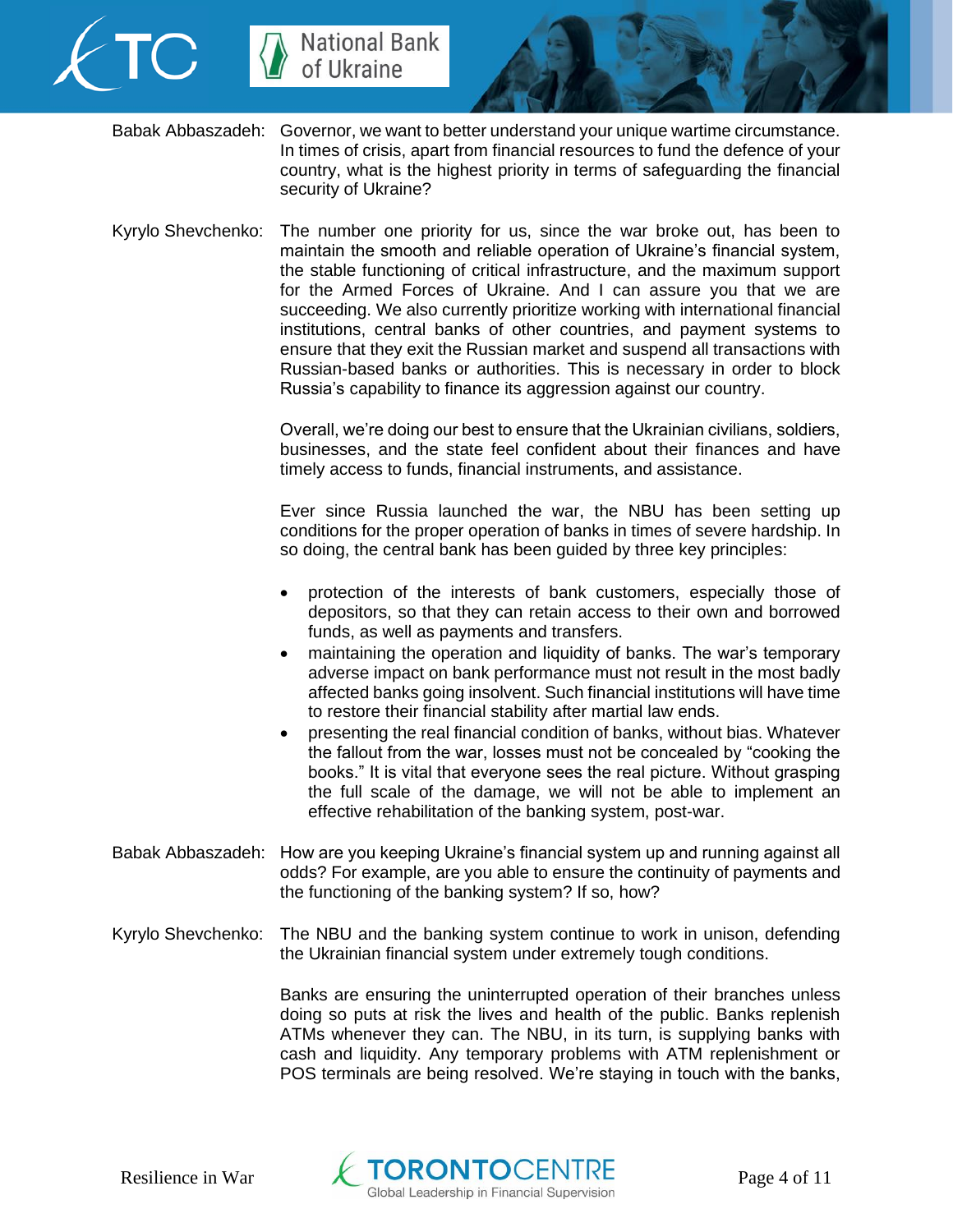



- Babak Abbaszadeh: Governor, we want to better understand your unique wartime circumstance. In times of crisis, apart from financial resources to fund the defence of your country, what is the highest priority in terms of safeguarding the financial security of Ukraine?
- Kyrylo Shevchenko: The number one priority for us, since the war broke out, has been to maintain the smooth and reliable operation of Ukraine's financial system, the stable functioning of critical infrastructure, and the maximum support for the Armed Forces of Ukraine. And I can assure you that we are succeeding. We also currently prioritize working with international financial institutions, central banks of other countries, and payment systems to ensure that they exit the Russian market and suspend all transactions with Russian-based banks or authorities. This is necessary in order to block Russia's capability to finance its aggression against our country.

Overall, we're doing our best to ensure that the Ukrainian civilians, soldiers, businesses, and the state feel confident about their finances and have timely access to funds, financial instruments, and assistance.

Ever since Russia launched the war, the NBU has been setting up conditions for the proper operation of banks in times of severe hardship. In so doing, the central bank has been guided by three key principles:

- protection of the interests of bank customers, especially those of depositors, so that they can retain access to their own and borrowed funds, as well as payments and transfers.
- maintaining the operation and liquidity of banks. The war's temporary adverse impact on bank performance must not result in the most badly affected banks going insolvent. Such financial institutions will have time to restore their financial stability after martial law ends.
- presenting the real financial condition of banks, without bias. Whatever the fallout from the war, losses must not be concealed by "cooking the books." It is vital that everyone sees the real picture. Without grasping the full scale of the damage, we will not be able to implement an effective rehabilitation of the banking system, post-war.
- Babak Abbaszadeh: How are you keeping Ukraine's financial system up and running against all odds? For example, are you able to ensure the continuity of payments and the functioning of the banking system? If so, how?
- Kyrylo Shevchenko: The NBU and the banking system continue to work in unison, defending the Ukrainian financial system under extremely tough conditions.

Banks are ensuring the uninterrupted operation of their branches unless doing so puts at risk the lives and health of the public. Banks replenish ATMs whenever they can. The NBU, in its turn, is supplying banks with cash and liquidity. Any temporary problems with ATM replenishment or POS terminals are being resolved. We're staying in touch with the banks,

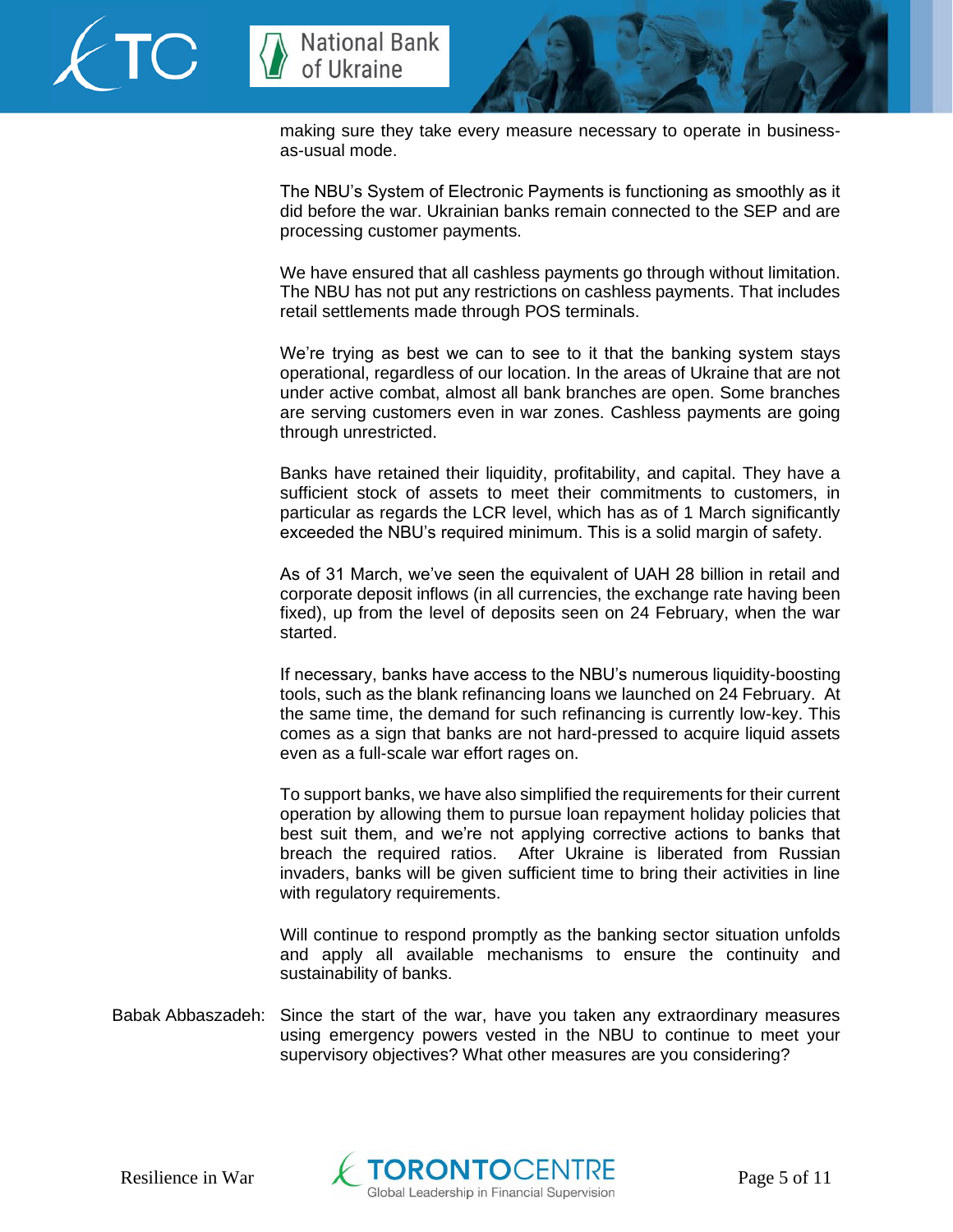



making sure they take every measure necessary to operate in businessas-usual mode.

The NBU's System of Electronic Payments is functioning as smoothly as it did before the war. Ukrainian banks remain connected to the SEP and are processing customer payments.

We have ensured that all cashless payments go through without limitation. The NBU has not put any restrictions on cashless payments. That includes retail settlements made through POS terminals.

We're trying as best we can to see to it that the banking system stays operational, regardless of our location. In the areas of Ukraine that are not under active combat, almost all bank branches are open. Some branches are serving customers even in war zones. Cashless payments are going through unrestricted.

Banks have retained their liquidity, profitability, and capital. They have a sufficient stock of assets to meet their commitments to customers, in particular as regards the LCR level, which has as of 1 March significantly exceeded the NBU's required minimum. This is a solid margin of safety.

As of 31 March, we've seen the equivalent of UAH 28 billion in retail and corporate deposit inflows (in all currencies, the exchange rate having been fixed), up from the level of deposits seen on 24 February, when the war started.

If necessary, banks have access to the NBU's numerous liquidity-boosting tools, such as the blank refinancing loans we launched on 24 February. At the same time, the demand for such refinancing is currently low-key. This comes as a sign that banks are not hard-pressed to acquire liquid assets even as a full-scale war effort rages on.

To support banks, we have also simplified the requirements for their current operation by allowing them to pursue loan repayment holiday policies that best suit them, and we're not applying corrective actions to banks that breach the required ratios. After Ukraine is liberated from Russian invaders, banks will be given sufficient time to bring their activities in line with regulatory requirements.

Will continue to respond promptly as the banking sector situation unfolds and apply all available mechanisms to ensure the continuity and sustainability of banks.

Babak Abbaszadeh: Since the start of the war, have you taken any extraordinary measures using emergency powers vested in the NBU to continue to meet your supervisory objectives? What other measures are you considering?

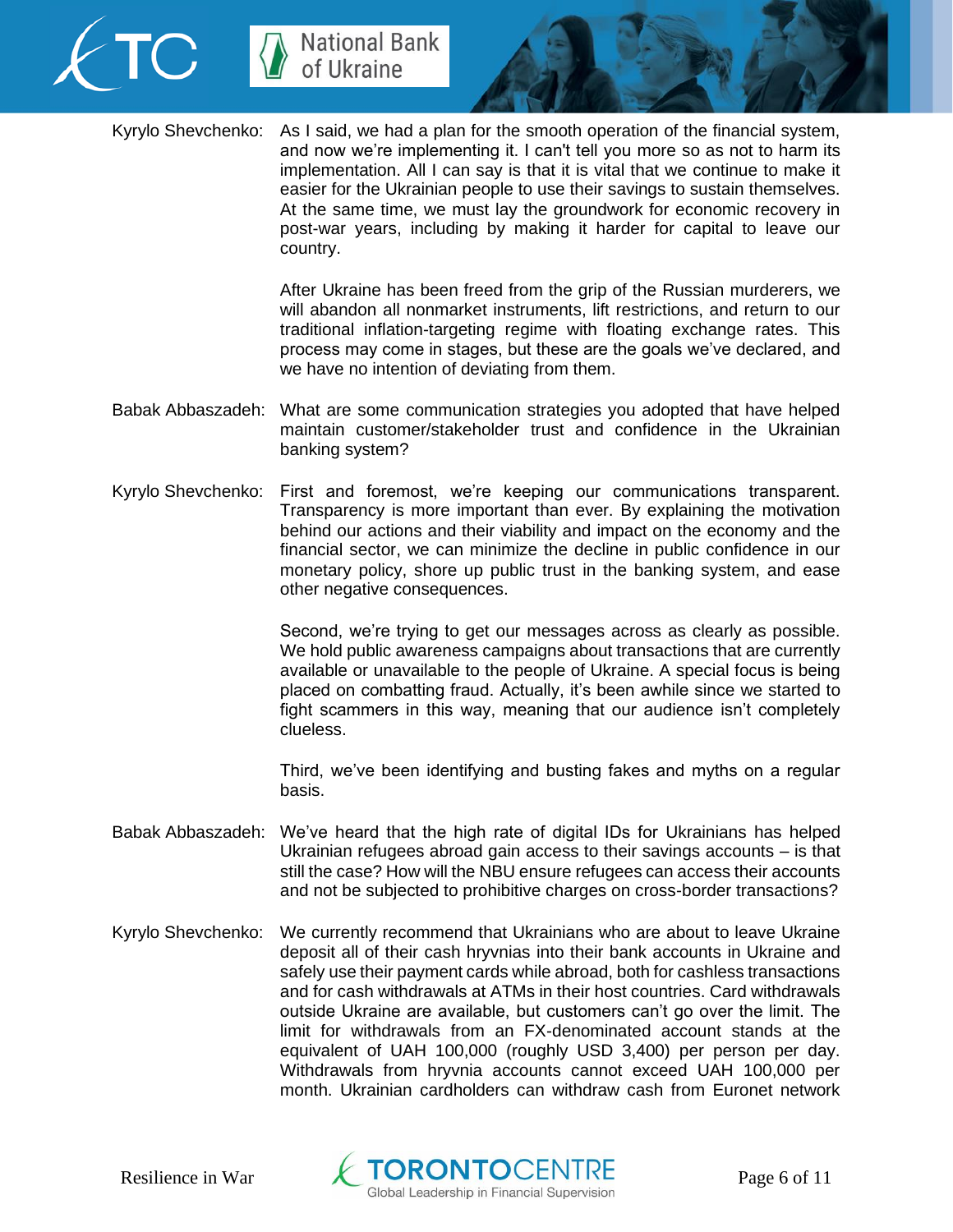



Kyrylo Shevchenko: As I said, we had a plan for the smooth operation of the financial system, and now we're implementing it. I can't tell you more so as not to harm its implementation. All I can say is that it is vital that we continue to make it easier for the Ukrainian people to use their savings to sustain themselves. At the same time, we must lay the groundwork for economic recovery in post-war years, including by making it harder for capital to leave our country.

> After Ukraine has been freed from the grip of the Russian murderers, we will abandon all nonmarket instruments, lift restrictions, and return to our traditional inflation-targeting regime with floating exchange rates. This process may come in stages, but these are the goals we've declared, and we have no intention of deviating from them.

- Babak Abbaszadeh: What are some communication strategies you adopted that have helped maintain customer/stakeholder trust and confidence in the Ukrainian banking system?
- Kyrylo Shevchenko: First and foremost, we're keeping our communications transparent. Transparency is more important than ever. By explaining the motivation behind our actions and their viability and impact on the economy and the financial sector, we can minimize the decline in public confidence in our monetary policy, shore up public trust in the banking system, and ease other negative consequences.

Second, we're trying to get our messages across as clearly as possible. We hold public awareness campaigns about transactions that are currently available or unavailable to the people of Ukraine. A special focus is being placed on combatting fraud. Actually, it's been awhile since we started to fight scammers in this way, meaning that our audience isn't completely clueless.

Third, we've been identifying and busting fakes and myths on a regular basis.

- Babak Abbaszadeh: We've heard that the high rate of digital IDs for Ukrainians has helped Ukrainian refugees abroad gain access to their savings accounts – is that still the case? How will the NBU ensure refugees can access their accounts and not be subjected to prohibitive charges on cross-border transactions?
- Kyrylo Shevchenko: We currently recommend that Ukrainians who are about to leave Ukraine deposit all of their cash hryvnias into their bank accounts in Ukraine and safely use their payment cards while abroad, both for cashless transactions and for cash withdrawals at ATMs in their host countries. Card withdrawals outside Ukraine are available, but customers can't go over the limit. The limit for withdrawals from an FX-denominated account stands at the equivalent of UAH 100,000 (roughly USD 3,400) per person per day. Withdrawals from hryvnia accounts cannot exceed UAH 100,000 per month. Ukrainian cardholders can withdraw cash from Euronet network

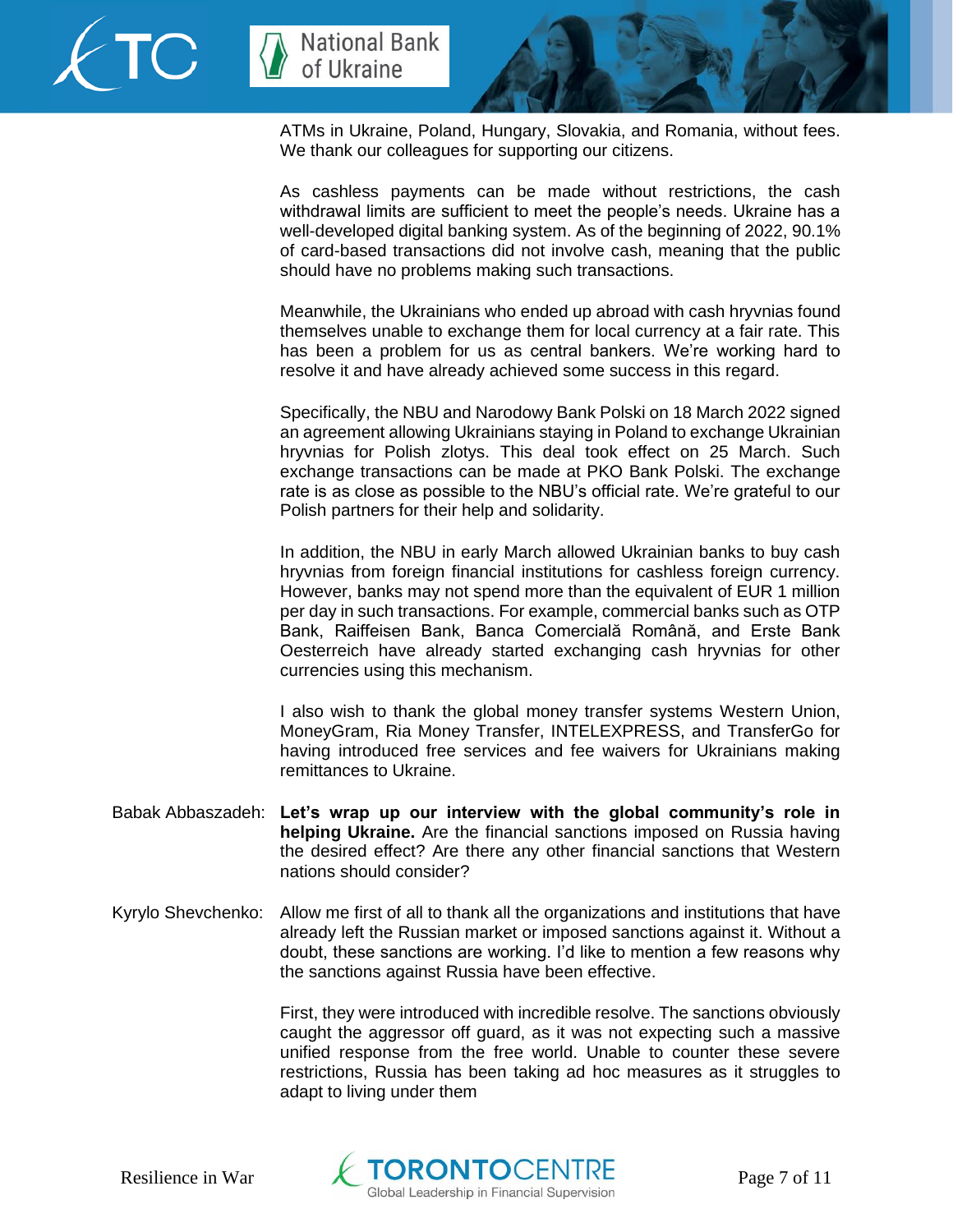



ATMs in Ukraine, Poland, Hungary, Slovakia, and Romania, without fees. We thank our colleagues for supporting our citizens.

As cashless payments can be made without restrictions, the cash withdrawal limits are sufficient to meet the people's needs. Ukraine has a well-developed digital banking system. As of the beginning of 2022, 90.1% of card-based transactions did not involve cash, meaning that the public should have no problems making such transactions.

Meanwhile, the Ukrainians who ended up abroad with cash hryvnias found themselves unable to exchange them for local currency at a fair rate. This has been a problem for us as central bankers. We're working hard to resolve it and have already achieved some success in this regard.

Specifically, the NBU and Narodowy Bank Polski on 18 March 2022 signed an agreement allowing Ukrainians staying in Poland to exchange Ukrainian hryvnias for Polish zlotys. This deal took effect on 25 March. Such exchange transactions can be made at PKO Bank Polski. The exchange rate is as close as possible to the NBU's official rate. We're grateful to our Polish partners for their help and solidarity.

In addition, the NBU in early March allowed Ukrainian banks to buy cash hryvnias from foreign financial institutions for cashless foreign currency. However, banks may not spend more than the equivalent of EUR 1 million per day in such transactions. For example, commercial banks such as OTP Bank, Raiffeisen Bank, Banca Comercială Română, and Erste Bank Oesterreich have already started exchanging cash hryvnias for other currencies using this mechanism.

I also wish to thank the global money transfer systems Western Union, MoneyGram, Ria Money Transfer, INTELEXPRESS, and TransferGo for having introduced free services and fee waivers for Ukrainians making remittances to Ukraine.

- Babak Abbaszadeh: **Let's wrap up our interview with the global community's role in helping Ukraine.** Are the financial sanctions imposed on Russia having the desired effect? Are there any other financial sanctions that Western nations should consider?
- Kyrylo Shevchenko: Allow me first of all to thank all the organizations and institutions that have already left the Russian market or imposed sanctions against it. Without a doubt, these sanctions are working. I'd like to mention a few reasons why the sanctions against Russia have been effective.

First, they were introduced with incredible resolve. The sanctions obviously caught the aggressor off guard, as it was not expecting such a massive unified response from the free world. Unable to counter these severe restrictions, Russia has been taking ad hoc measures as it struggles to adapt to living under them

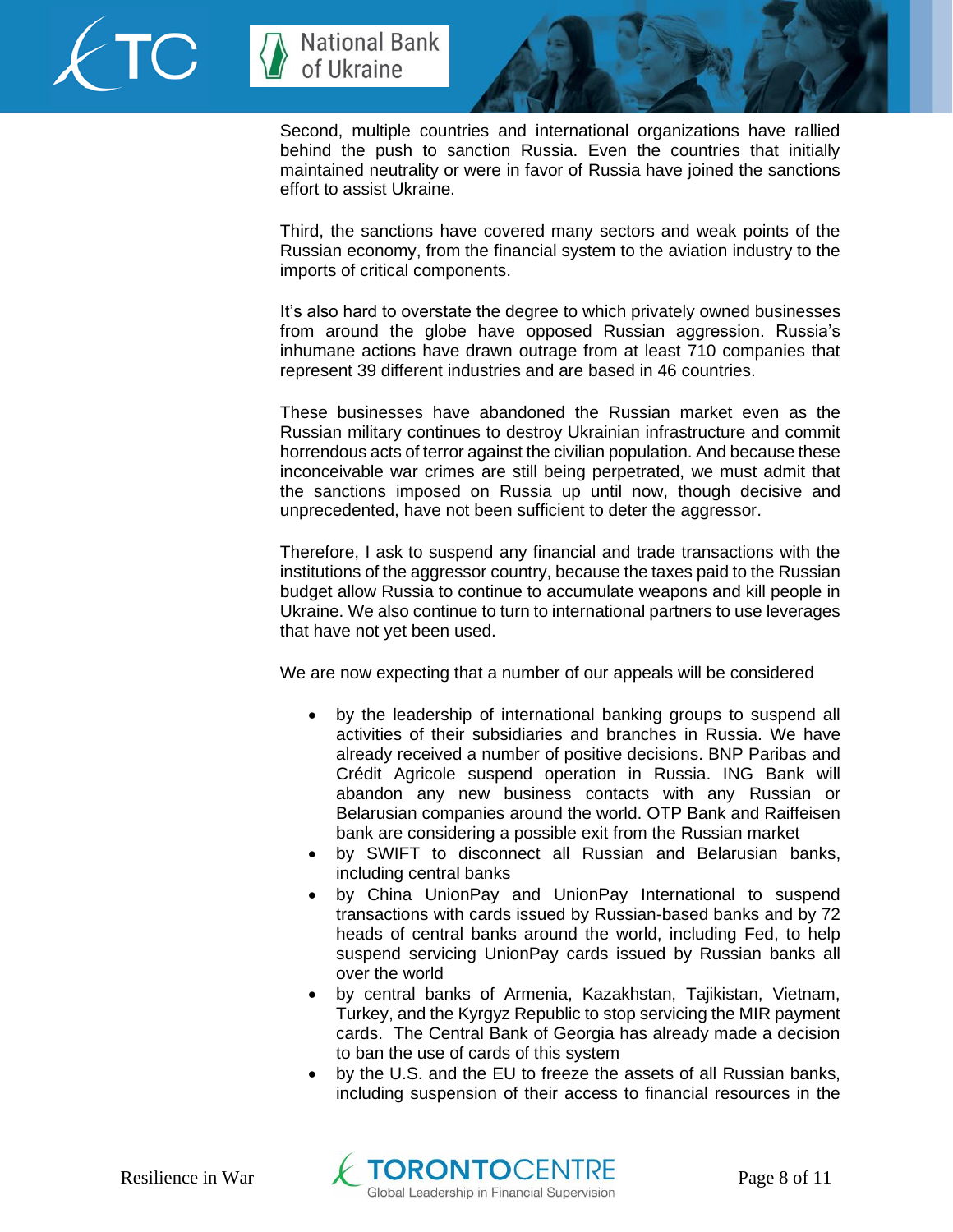



Second, multiple countries and international organizations have rallied behind the push to sanction Russia. Even the countries that initially maintained neutrality or were in favor of Russia have joined the sanctions effort to assist Ukraine.

Third, the sanctions have covered many sectors and weak points of the Russian economy, from the financial system to the aviation industry to the imports of critical components.

It's also hard to overstate the degree to which privately owned businesses from around the globe have opposed Russian aggression. Russia's inhumane actions have drawn outrage from at least 710 companies that represent 39 different industries and are based in 46 countries.

These businesses have abandoned the Russian market even as the Russian military continues to destroy Ukrainian infrastructure and commit horrendous acts of terror against the civilian population. And because these inconceivable war crimes are still being perpetrated, we must admit that the sanctions imposed on Russia up until now, though decisive and unprecedented, have not been sufficient to deter the aggressor.

Therefore, I ask to suspend any financial and trade transactions with the institutions of the aggressor country, because the taxes paid to the Russian budget allow Russia to continue to accumulate weapons and kill people in Ukraine. We also continue to turn to international partners to use leverages that have not yet been used.

We are now expecting that a number of our appeals will be considered

- by the leadership of international banking groups to suspend all activities of their subsidiaries and branches in Russia. We have already received a number of positive decisions. BNP Paribas and Crédit Agricole suspend operation in Russia. ING Bank will abandon any new business contacts with any Russian or Belarusian companies around the world. OTP Bank and Raiffeisen bank are considering a possible exit from the Russian market
- by SWIFT to disconnect all Russian and Belarusian banks, including central banks
- by China UnionPay and UnionPay International to suspend transactions with cards issued by Russian-based banks and by 72 heads of central banks around the world, including Fed, to help suspend servicing UnionPay cards issued by Russian banks all over the world
- by central banks of Armenia, Kazakhstan, Tajikistan, Vietnam, Turkey, and the Kyrgyz Republic to stop servicing the MIR payment cards. The Central Bank of Georgia has already made a decision to ban the use of cards of this system
- by the U.S. and the EU to freeze the assets of all Russian banks, including suspension of their access to financial resources in the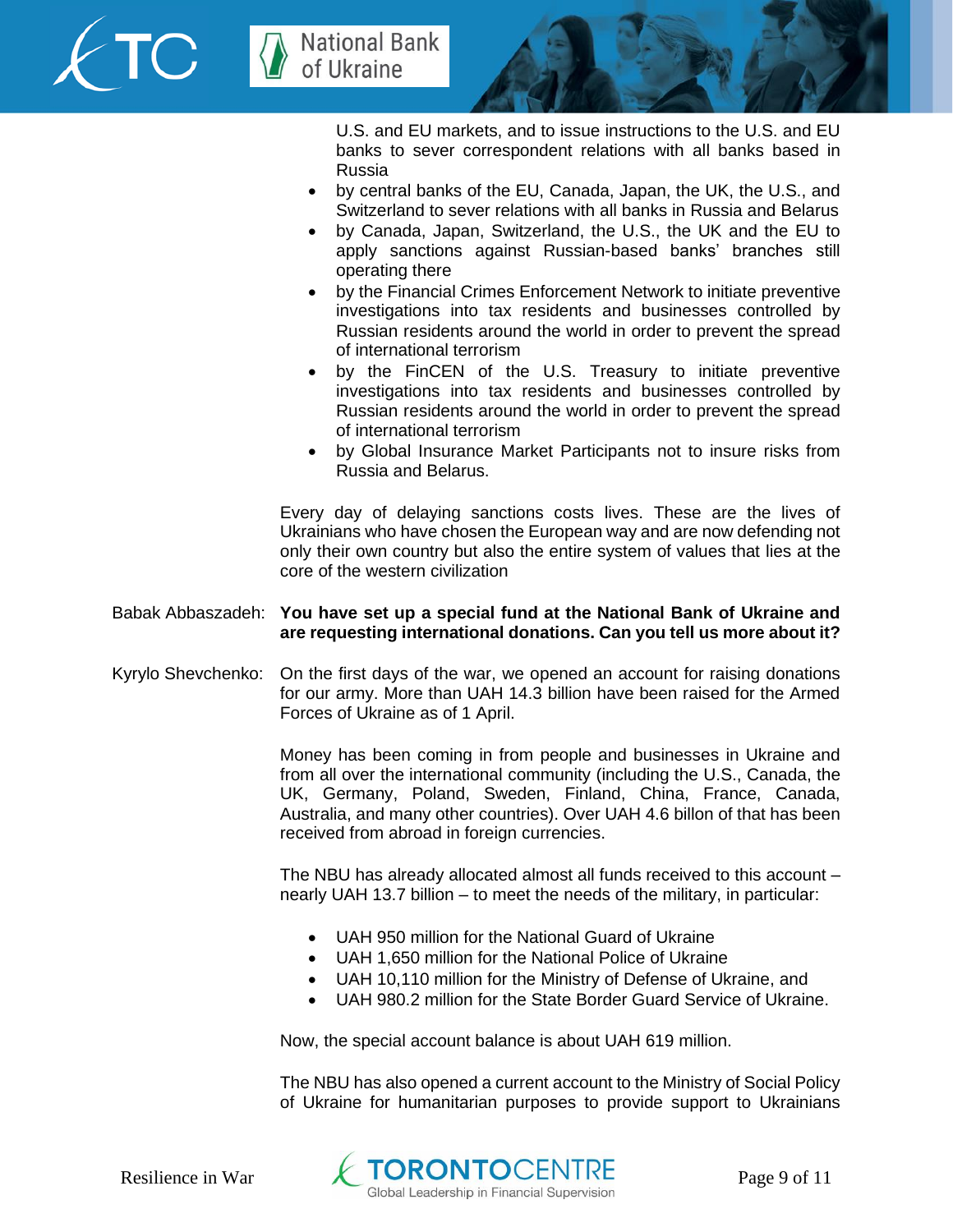



U.S. and EU markets, and to issue instructions to the U.S. and EU banks to sever correspondent relations with all banks based in Russia

- by central banks of the EU, Canada, Japan, the UK, the U.S., and Switzerland to sever relations with all banks in Russia and Belarus
- by Canada, Japan, Switzerland, the U.S., the UK and the EU to apply sanctions against Russian-based banks' branches still operating there
- by the Financial Crimes Enforcement Network to initiate preventive investigations into tax residents and businesses controlled by Russian residents around the world in order to prevent the spread of international terrorism
- by the FinCEN of the U.S. Treasury to initiate preventive investigations into tax residents and businesses controlled by Russian residents around the world in order to prevent the spread of international terrorism
- by Global Insurance Market Participants not to insure risks from Russia and Belarus.

Every day of delaying sanctions costs lives. These are the lives of Ukrainians who have chosen the European way and are now defending not only their own country but also the entire system of values that lies at the core of the western civilization

## Babak Abbaszadeh: **You have set up a special fund at the National Bank of Ukraine and are requesting international donations. Can you tell us more about it?**

Kyrylo Shevchenko: On the first days of the war, we opened an account for raising donations for our army. More than UAH 14.3 billion have been raised for the Armed Forces of Ukraine as of 1 April.

> Money has been coming in from people and businesses in Ukraine and from all over the international community (including the U.S., Canada, the UK, Germany, Poland, Sweden, Finland, China, France, Canada, Australia, and many other countries). Over UAH 4.6 billon of that has been received from abroad in foreign currencies.

> The NBU has already allocated almost all funds received to this account – nearly UAH 13.7 billion – to meet the needs of the military, in particular:

- UAH 950 million for the National Guard of Ukraine
- UAH 1,650 million for the National Police of Ukraine
- UAH 10,110 million for the Ministry of Defense of Ukraine, and
- UAH 980.2 million for the State Border Guard Service of Ukraine.

Now, the special account balance is about UAH 619 million.

The NBU has also opened a current account to the Ministry of Social Policy of Ukraine for humanitarian purposes to provide support to Ukrainians

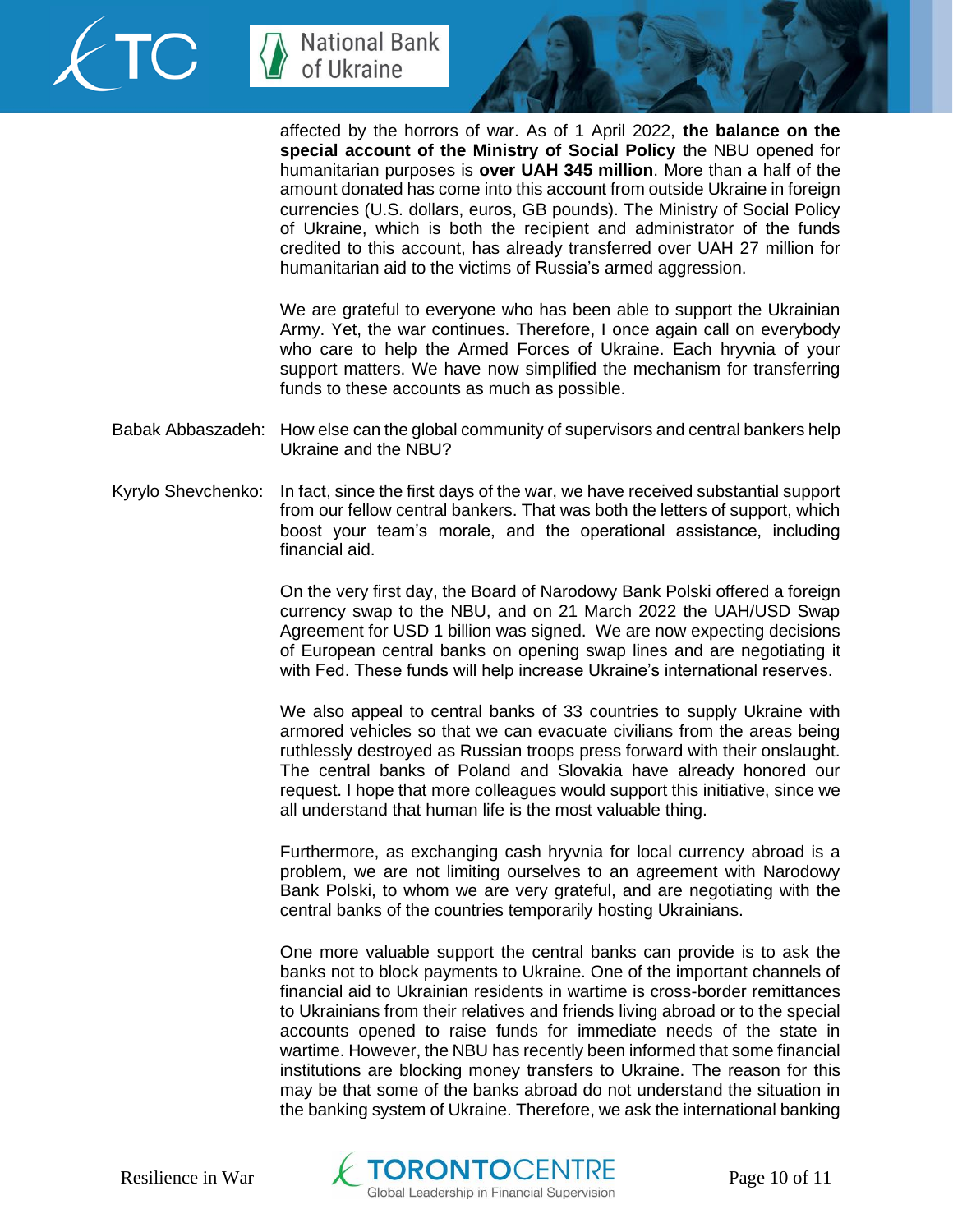



affected by the horrors of war. As of 1 April 2022, **the balance on the special account of the Ministry of Social Policy** the NBU opened for humanitarian purposes is **over UAH 345 million**. More than a half of the amount donated has come into this account from outside Ukraine in foreign currencies (U.S. dollars, euros, GB pounds). The Ministry of Social Policy of Ukraine, which is both the recipient and administrator of the funds credited to this account, has already transferred over UAH 27 million for humanitarian aid to the victims of Russia's armed aggression.

We are grateful to everyone who has been able to support the Ukrainian Army. Yet, the war continues. Therefore, I once again call on everybody who care to help the Armed Forces of Ukraine. Each hryvnia of your support matters. We have now simplified the mechanism for transferring funds to these accounts as much as possible.

- Babak Abbaszadeh: How else can the global community of supervisors and central bankers help Ukraine and the NBU?
- Kyrylo Shevchenko: In fact, since the first days of the war, we have received substantial support from our fellow central bankers. That was both the letters of support, which boost your team's morale, and the operational assistance, including financial aid.

On the very first day, the Board of Narodowy Bank Polski offered a foreign currency swap to the NBU, and on 21 March 2022 the UAH/USD Swap Agreement for USD 1 billion was signed. We are now expecting decisions of European central banks on opening swap lines and are negotiating it with Fed. These funds will help increase Ukraine's international reserves.

We also appeal to central banks of 33 countries to supply Ukraine with armored vehicles so that we can evacuate civilians from the areas being ruthlessly destroyed as Russian troops press forward with their onslaught. The central banks of Poland and Slovakia have already honored our request. I hope that more colleagues would support this initiative, since we all understand that human life is the most valuable thing.

Furthermore, as exchanging cash hryvnia for local currency abroad is a problem, we are not limiting ourselves to an agreement with Narodowy Bank Polski, to whom we are very grateful, and are negotiating with the central banks of the countries temporarily hosting Ukrainians.

One more valuable support the central banks can provide is to ask the banks not to block payments to Ukraine. One of the important channels of financial aid to Ukrainian residents in wartime is cross-border remittances to Ukrainians from their relatives and friends living abroad or to the special accounts opened to raise funds for immediate needs of the state in wartime. However, the NBU has recently been informed that some financial institutions are blocking money transfers to Ukraine. The reason for this may be that some of the banks abroad do not understand the situation in the banking system of Ukraine. Therefore, we ask the international banking